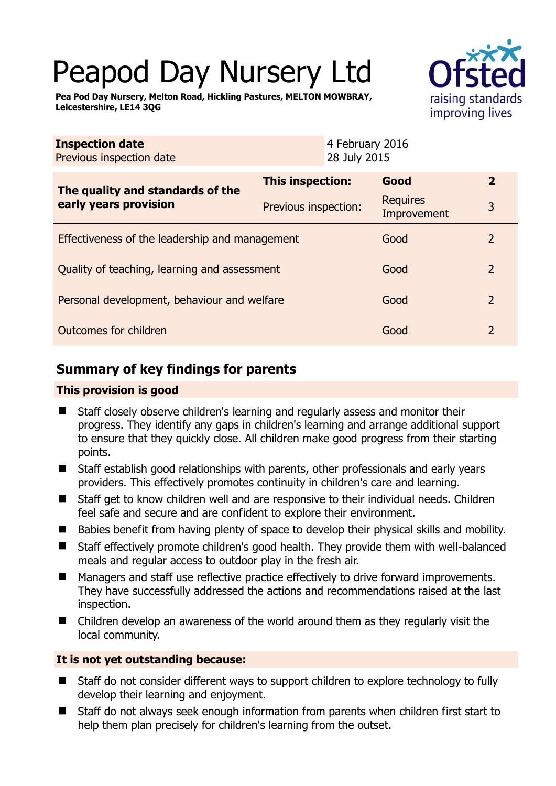# Peapod Day Nursery Ltd

**Pea Pod Day Nursery, Melton Road, Hickling Pastures, MELTON MOWBRAY, Leicestershire, LE14 3QG** 



| <b>Inspection date</b><br>Previous inspection date        |                      | 4 February 2016<br>28 July 2015 |                                |                |
|-----------------------------------------------------------|----------------------|---------------------------------|--------------------------------|----------------|
| The quality and standards of the<br>early years provision | This inspection:     |                                 | Good                           | $\overline{2}$ |
|                                                           | Previous inspection: |                                 | <b>Requires</b><br>Improvement | 3              |
| Effectiveness of the leadership and management            |                      |                                 | Good                           | 2              |
| Quality of teaching, learning and assessment              |                      |                                 | Good                           | $\overline{2}$ |
| Personal development, behaviour and welfare               |                      |                                 | Good                           | $\overline{2}$ |
| Outcomes for children                                     |                      |                                 | Good                           | 2              |

# **Summary of key findings for parents**

## **This provision is good**

- Staff closely observe children's learning and regularly assess and monitor their progress. They identify any gaps in children's learning and arrange additional support to ensure that they quickly close. All children make good progress from their starting points.
- Staff establish good relationships with parents, other professionals and early years providers. This effectively promotes continuity in children's care and learning.
- Staff get to know children well and are responsive to their individual needs. Children feel safe and secure and are confident to explore their environment.
- Babies benefit from having plenty of space to develop their physical skills and mobility.
- Staff effectively promote children's good health. They provide them with well-balanced meals and regular access to outdoor play in the fresh air.
- Managers and staff use reflective practice effectively to drive forward improvements. They have successfully addressed the actions and recommendations raised at the last inspection.
- Children develop an awareness of the world around them as they regularly visit the local community.

## **It is not yet outstanding because:**

- Staff do not consider different ways to support children to explore technology to fully develop their learning and enjoyment.
- Staff do not always seek enough information from parents when children first start to help them plan precisely for children's learning from the outset.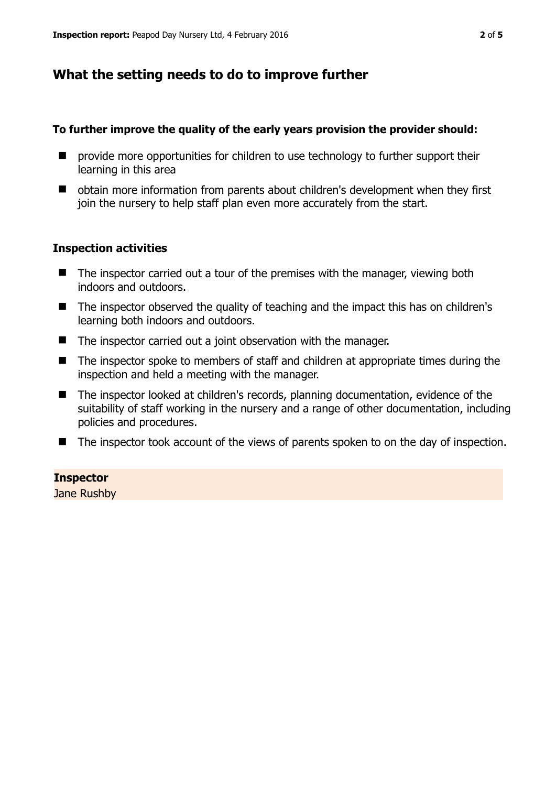# **What the setting needs to do to improve further**

#### **To further improve the quality of the early years provision the provider should:**

- **P** provide more opportunities for children to use technology to further support their learning in this area
- obtain more information from parents about children's development when they first join the nursery to help staff plan even more accurately from the start.

## **Inspection activities**

- $\blacksquare$  The inspector carried out a tour of the premises with the manager, viewing both indoors and outdoors.
- The inspector observed the quality of teaching and the impact this has on children's learning both indoors and outdoors.
- The inspector carried out a joint observation with the manager.
- The inspector spoke to members of staff and children at appropriate times during the inspection and held a meeting with the manager.
- The inspector looked at children's records, planning documentation, evidence of the suitability of staff working in the nursery and a range of other documentation, including policies and procedures.
- The inspector took account of the views of parents spoken to on the day of inspection.

**Inspector** 

Jane Rushby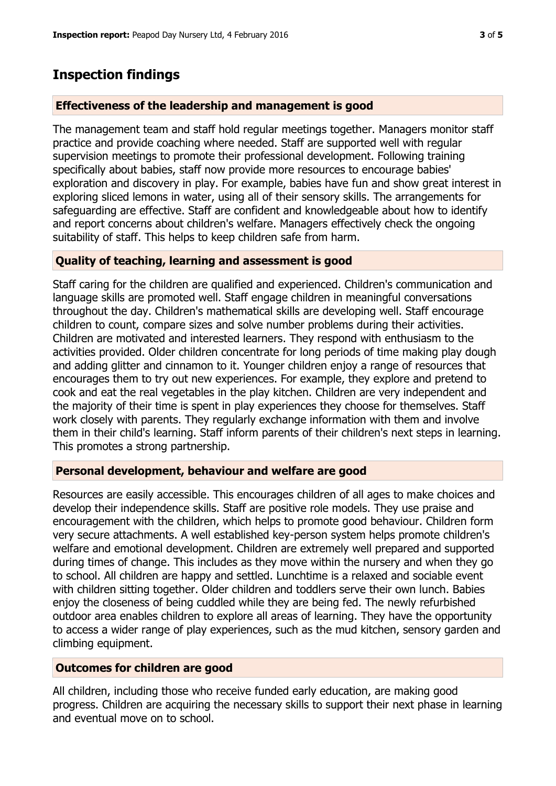# **Inspection findings**

## **Effectiveness of the leadership and management is good**

The management team and staff hold regular meetings together. Managers monitor staff practice and provide coaching where needed. Staff are supported well with regular supervision meetings to promote their professional development. Following training specifically about babies, staff now provide more resources to encourage babies' exploration and discovery in play. For example, babies have fun and show great interest in exploring sliced lemons in water, using all of their sensory skills. The arrangements for safeguarding are effective. Staff are confident and knowledgeable about how to identify and report concerns about children's welfare. Managers effectively check the ongoing suitability of staff. This helps to keep children safe from harm.

## **Quality of teaching, learning and assessment is good**

Staff caring for the children are qualified and experienced. Children's communication and language skills are promoted well. Staff engage children in meaningful conversations throughout the day. Children's mathematical skills are developing well. Staff encourage children to count, compare sizes and solve number problems during their activities. Children are motivated and interested learners. They respond with enthusiasm to the activities provided. Older children concentrate for long periods of time making play dough and adding glitter and cinnamon to it. Younger children enjoy a range of resources that encourages them to try out new experiences. For example, they explore and pretend to cook and eat the real vegetables in the play kitchen. Children are very independent and the majority of their time is spent in play experiences they choose for themselves. Staff work closely with parents. They regularly exchange information with them and involve them in their child's learning. Staff inform parents of their children's next steps in learning. This promotes a strong partnership.

## **Personal development, behaviour and welfare are good**

Resources are easily accessible. This encourages children of all ages to make choices and develop their independence skills. Staff are positive role models. They use praise and encouragement with the children, which helps to promote good behaviour. Children form very secure attachments. A well established key-person system helps promote children's welfare and emotional development. Children are extremely well prepared and supported during times of change. This includes as they move within the nursery and when they go to school. All children are happy and settled. Lunchtime is a relaxed and sociable event with children sitting together. Older children and toddlers serve their own lunch. Babies enjoy the closeness of being cuddled while they are being fed. The newly refurbished outdoor area enables children to explore all areas of learning. They have the opportunity to access a wider range of play experiences, such as the mud kitchen, sensory garden and climbing equipment.

## **Outcomes for children are good**

All children, including those who receive funded early education, are making good progress. Children are acquiring the necessary skills to support their next phase in learning and eventual move on to school.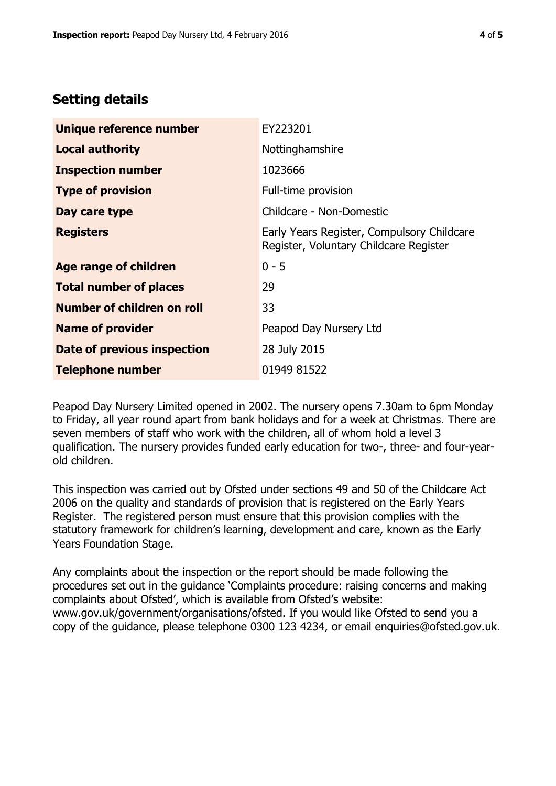## **Setting details**

| Unique reference number       | EY223201                                                                             |  |
|-------------------------------|--------------------------------------------------------------------------------------|--|
| <b>Local authority</b>        | Nottinghamshire                                                                      |  |
| <b>Inspection number</b>      | 1023666                                                                              |  |
| <b>Type of provision</b>      | Full-time provision                                                                  |  |
| Day care type                 | Childcare - Non-Domestic                                                             |  |
| <b>Registers</b>              | Early Years Register, Compulsory Childcare<br>Register, Voluntary Childcare Register |  |
| <b>Age range of children</b>  | $0 - 5$                                                                              |  |
| <b>Total number of places</b> | 29                                                                                   |  |
| Number of children on roll    | 33                                                                                   |  |
| <b>Name of provider</b>       | Peapod Day Nursery Ltd                                                               |  |
| Date of previous inspection   | 28 July 2015                                                                         |  |
| <b>Telephone number</b>       | 01949 81522                                                                          |  |

Peapod Day Nursery Limited opened in 2002. The nursery opens 7.30am to 6pm Monday to Friday, all year round apart from bank holidays and for a week at Christmas. There are seven members of staff who work with the children, all of whom hold a level 3 qualification. The nursery provides funded early education for two-, three- and four-yearold children.

This inspection was carried out by Ofsted under sections 49 and 50 of the Childcare Act 2006 on the quality and standards of provision that is registered on the Early Years Register. The registered person must ensure that this provision complies with the statutory framework for children's learning, development and care, known as the Early Years Foundation Stage.

Any complaints about the inspection or the report should be made following the procedures set out in the guidance 'Complaints procedure: raising concerns and making complaints about Ofsted', which is available from Ofsted's website: www.gov.uk/government/organisations/ofsted. If you would like Ofsted to send you a copy of the guidance, please telephone 0300 123 4234, or email enquiries@ofsted.gov.uk.